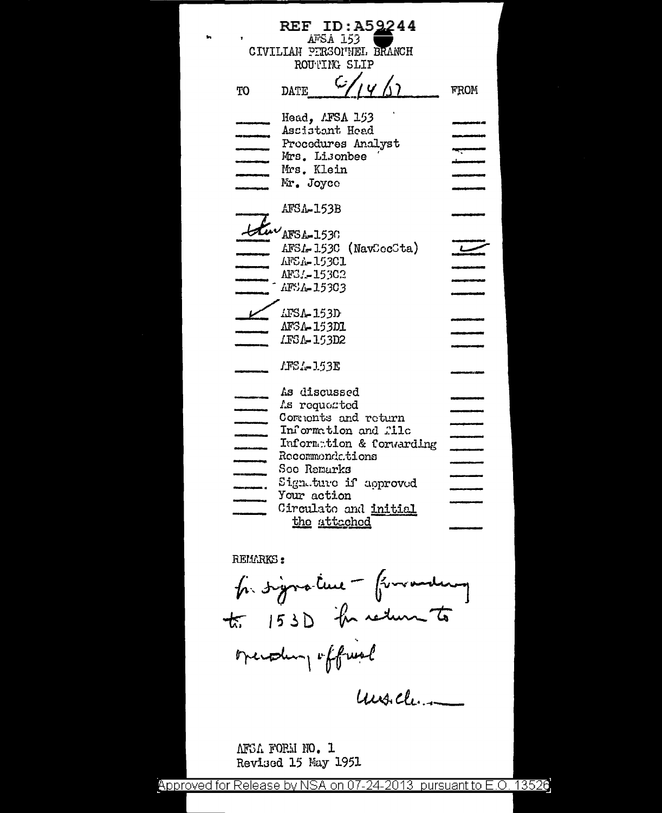|          | <b>REF ID: A52244</b>        |      |  |  |  |  |  |  |
|----------|------------------------------|------|--|--|--|--|--|--|
| AFSA 153 |                              |      |  |  |  |  |  |  |
|          | CIVILIAN PIRSONNEL BRANCH    |      |  |  |  |  |  |  |
|          | ROUTING SLIP                 |      |  |  |  |  |  |  |
| TO       | رنبا<br>1411<br>DATE         | FROM |  |  |  |  |  |  |
|          |                              |      |  |  |  |  |  |  |
|          | Head, <i>L</i> FSA 153       |      |  |  |  |  |  |  |
|          | Ascistant Head               |      |  |  |  |  |  |  |
|          | Procedures Analyst           |      |  |  |  |  |  |  |
|          | Mrs. Lisonbee                |      |  |  |  |  |  |  |
|          | Mrs. Klein<br>Mr. Joyce      |      |  |  |  |  |  |  |
|          |                              |      |  |  |  |  |  |  |
|          | AFSA-153B                    |      |  |  |  |  |  |  |
|          |                              |      |  |  |  |  |  |  |
|          | AFSA-1530                    |      |  |  |  |  |  |  |
|          | $AFSL-153C$ (NavCocCta)      |      |  |  |  |  |  |  |
|          | <b>AFSA-153C1</b>            |      |  |  |  |  |  |  |
|          | AF31-15302                   |      |  |  |  |  |  |  |
|          | AFSA-15303                   |      |  |  |  |  |  |  |
|          |                              |      |  |  |  |  |  |  |
|          | LFSA-153D                    |      |  |  |  |  |  |  |
|          | AFSA-153D1                   |      |  |  |  |  |  |  |
|          | IFSA-153D2                   |      |  |  |  |  |  |  |
|          |                              |      |  |  |  |  |  |  |
|          | AFSA-153E                    |      |  |  |  |  |  |  |
|          |                              |      |  |  |  |  |  |  |
|          | As discussed<br>As requested |      |  |  |  |  |  |  |
|          | Commonts and return          |      |  |  |  |  |  |  |
|          | Information and file         |      |  |  |  |  |  |  |
|          | Information & forwarding     |      |  |  |  |  |  |  |
|          | Recommendations              |      |  |  |  |  |  |  |
|          | Soe Remarks                  |      |  |  |  |  |  |  |
|          | Sign.ture if approved        |      |  |  |  |  |  |  |
|          | Your action                  |      |  |  |  |  |  |  |
|          | Circulato and initial        |      |  |  |  |  |  |  |
|          | the attached                 |      |  |  |  |  |  |  |
|          |                              |      |  |  |  |  |  |  |

RELLARKS:

ĥ,

for signature - forwarding to 153D the return to overaling official

under

AFSA FORM NO. 1 Revised 15 May 1951

13526 Approved for Release by NSA on 07-24-2013 pursuant to E.O.